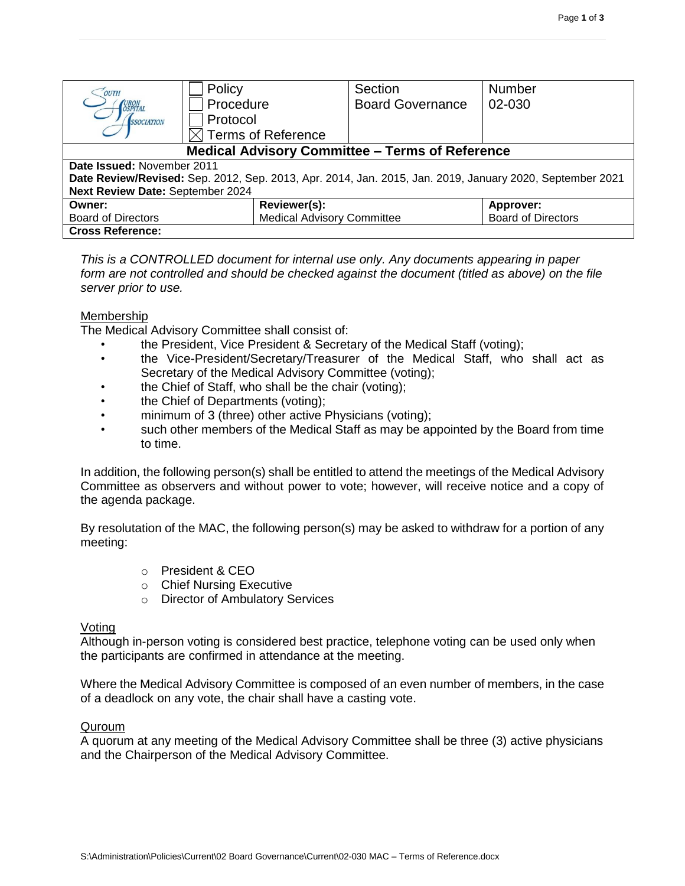| OUTH                                                                                                     | Policy                            | Section                 | <b>Number</b>             |  |  |  |  |
|----------------------------------------------------------------------------------------------------------|-----------------------------------|-------------------------|---------------------------|--|--|--|--|
| URON<br>OSPITAL                                                                                          | Procedure                         | <b>Board Governance</b> | 02-030                    |  |  |  |  |
| <i><b>SSOCIATION</b></i>                                                                                 | Protocol                          |                         |                           |  |  |  |  |
|                                                                                                          | <b>Terms of Reference</b>         |                         |                           |  |  |  |  |
| <b>Medical Advisory Committee - Terms of Reference</b>                                                   |                                   |                         |                           |  |  |  |  |
| Date Issued: November 2011                                                                               |                                   |                         |                           |  |  |  |  |
| Date Review/Revised: Sep. 2012, Sep. 2013, Apr. 2014, Jan. 2015, Jan. 2019, January 2020, September 2021 |                                   |                         |                           |  |  |  |  |
| Next Review Date: September 2024                                                                         |                                   |                         |                           |  |  |  |  |
| Reviewer(s):<br>Owner:                                                                                   |                                   |                         | Approver:                 |  |  |  |  |
| <b>Board of Directors</b>                                                                                | <b>Medical Advisory Committee</b> |                         | <b>Board of Directors</b> |  |  |  |  |
| <b>Cross Reference:</b>                                                                                  |                                   |                         |                           |  |  |  |  |

*This is a CONTROLLED document for internal use only. Any documents appearing in paper*  form are not controlled and should be checked against the document (titled as above) on the file *server prior to use.*

#### Membership

The Medical Advisory Committee shall consist of:

- the President, Vice President & Secretary of the Medical Staff (voting);
- the Vice-President/Secretary/Treasurer of the Medical Staff, who shall act as Secretary of the Medical Advisory Committee (voting);
- the Chief of Staff, who shall be the chair (voting);
- the Chief of Departments (voting);
- minimum of 3 (three) other active Physicians (voting);
- such other members of the Medical Staff as may be appointed by the Board from time to time.

In addition, the following person(s) shall be entitled to attend the meetings of the Medical Advisory Committee as observers and without power to vote; however, will receive notice and a copy of the agenda package.

By resolutation of the MAC, the following person(s) may be asked to withdraw for a portion of any meeting:

- o President & CEO
- o Chief Nursing Executive
- o Director of Ambulatory Services

### Voting

Although in-person voting is considered best practice, telephone voting can be used only when the participants are confirmed in attendance at the meeting.

Where the Medical Advisory Committee is composed of an even number of members, in the case of a deadlock on any vote, the chair shall have a casting vote.

#### **Quroum**

A quorum at any meeting of the Medical Advisory Committee shall be three (3) active physicians and the Chairperson of the Medical Advisory Committee.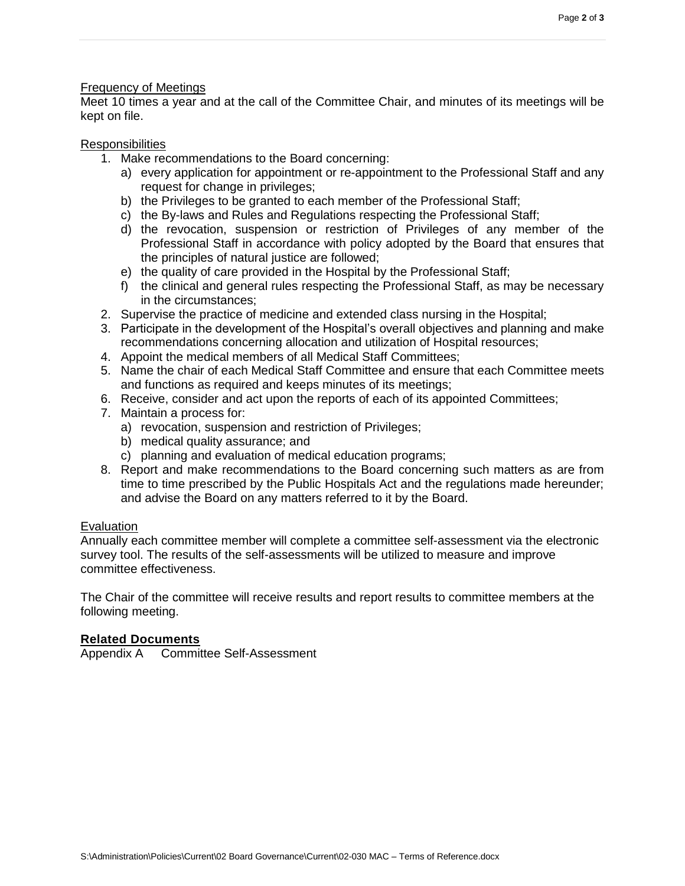### Frequency of Meetings

Meet 10 times a year and at the call of the Committee Chair, and minutes of its meetings will be kept on file.

### Responsibilities

- 1. Make recommendations to the Board concerning:
	- a) every application for appointment or re-appointment to the Professional Staff and any request for change in privileges;
	- b) the Privileges to be granted to each member of the Professional Staff;
	- c) the By-laws and Rules and Regulations respecting the Professional Staff;
	- d) the revocation, suspension or restriction of Privileges of any member of the Professional Staff in accordance with policy adopted by the Board that ensures that the principles of natural justice are followed;
	- e) the quality of care provided in the Hospital by the Professional Staff;
	- f) the clinical and general rules respecting the Professional Staff, as may be necessary in the circumstances;
- 2. Supervise the practice of medicine and extended class nursing in the Hospital;
- 3. Participate in the development of the Hospital's overall objectives and planning and make recommendations concerning allocation and utilization of Hospital resources;
- 4. Appoint the medical members of all Medical Staff Committees;
- 5. Name the chair of each Medical Staff Committee and ensure that each Committee meets and functions as required and keeps minutes of its meetings;
- 6. Receive, consider and act upon the reports of each of its appointed Committees;
- 7. Maintain a process for:
	- a) revocation, suspension and restriction of Privileges;
	- b) medical quality assurance; and
	- c) planning and evaluation of medical education programs;
- 8. Report and make recommendations to the Board concerning such matters as are from time to time prescribed by the Public Hospitals Act and the regulations made hereunder; and advise the Board on any matters referred to it by the Board.

## Evaluation

Annually each committee member will complete a committee self-assessment via the electronic survey tool. The results of the self-assessments will be utilized to measure and improve committee effectiveness.

The Chair of the committee will receive results and report results to committee members at the following meeting.

### **Related Documents**

Appendix A Committee Self-Assessment